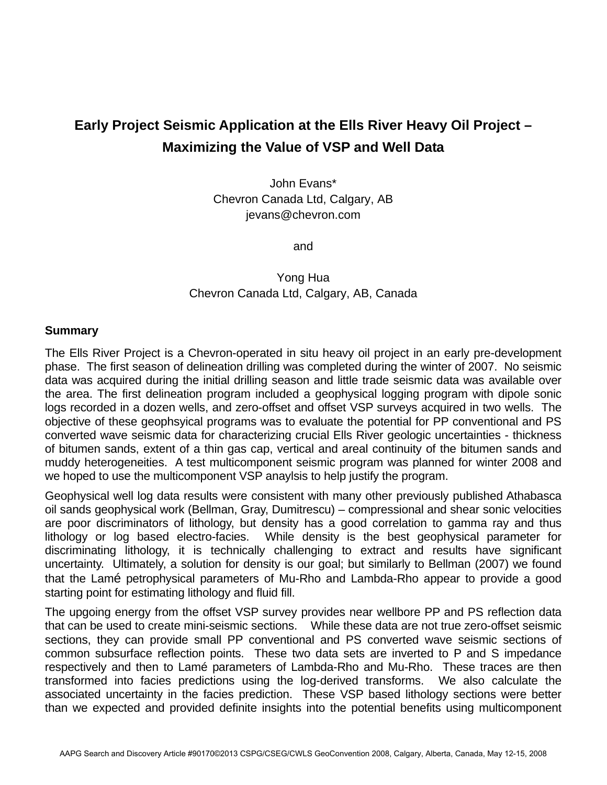# **Early Project Seismic Application at the Ells River Heavy Oil Project – Maximizing the Value of VSP and Well Data**

John Evans\* Chevron Canada Ltd, Calgary, AB jevans@chevron.com

and

## Yong Hua Chevron Canada Ltd, Calgary, AB, Canada

### **Summary**

The Ells River Project is a Chevron-operated in situ heavy oil project in an early pre-development phase. The first season of delineation drilling was completed during the winter of 2007. No seismic data was acquired during the initial drilling season and little trade seismic data was available over the area. The first delineation program included a geophysical logging program with dipole sonic logs recorded in a dozen wells, and zero-offset and offset VSP surveys acquired in two wells. The objective of these geophsyical programs was to evaluate the potential for PP conventional and PS converted wave seismic data for characterizing crucial Ells River geologic uncertainties - thickness of bitumen sands, extent of a thin gas cap, vertical and areal continuity of the bitumen sands and muddy heterogeneities. A test multicomponent seismic program was planned for winter 2008 and we hoped to use the multicomponent VSP anaylsis to help justify the program.

Geophysical well log data results were consistent with many other previously published Athabasca oil sands geophysical work (Bellman, Gray, Dumitrescu) – compressional and shear sonic velocities are poor discriminators of lithology, but density has a good correlation to gamma ray and thus lithology or log based electro-facies. While density is the best geophysical parameter for discriminating lithology, it is technically challenging to extract and results have significant uncertainty. Ultimately, a solution for density is our goal; but similarly to Bellman (2007) we found that the Lamé petrophysical parameters of Mu-Rho and Lambda-Rho appear to provide a good starting point for estimating lithology and fluid fill.

The upgoing energy from the offset VSP survey provides near wellbore PP and PS reflection data that can be used to create mini-seismic sections. While these data are not true zero-offset seismic sections, they can provide small PP conventional and PS converted wave seismic sections of common subsurface reflection points. These two data sets are inverted to P and S impedance respectively and then to Lamé parameters of Lambda-Rho and Mu-Rho. These traces are then transformed into facies predictions using the log-derived transforms. We also calculate the associated uncertainty in the facies prediction. These VSP based lithology sections were better than we expected and provided definite insights into the potential benefits using multicomponent